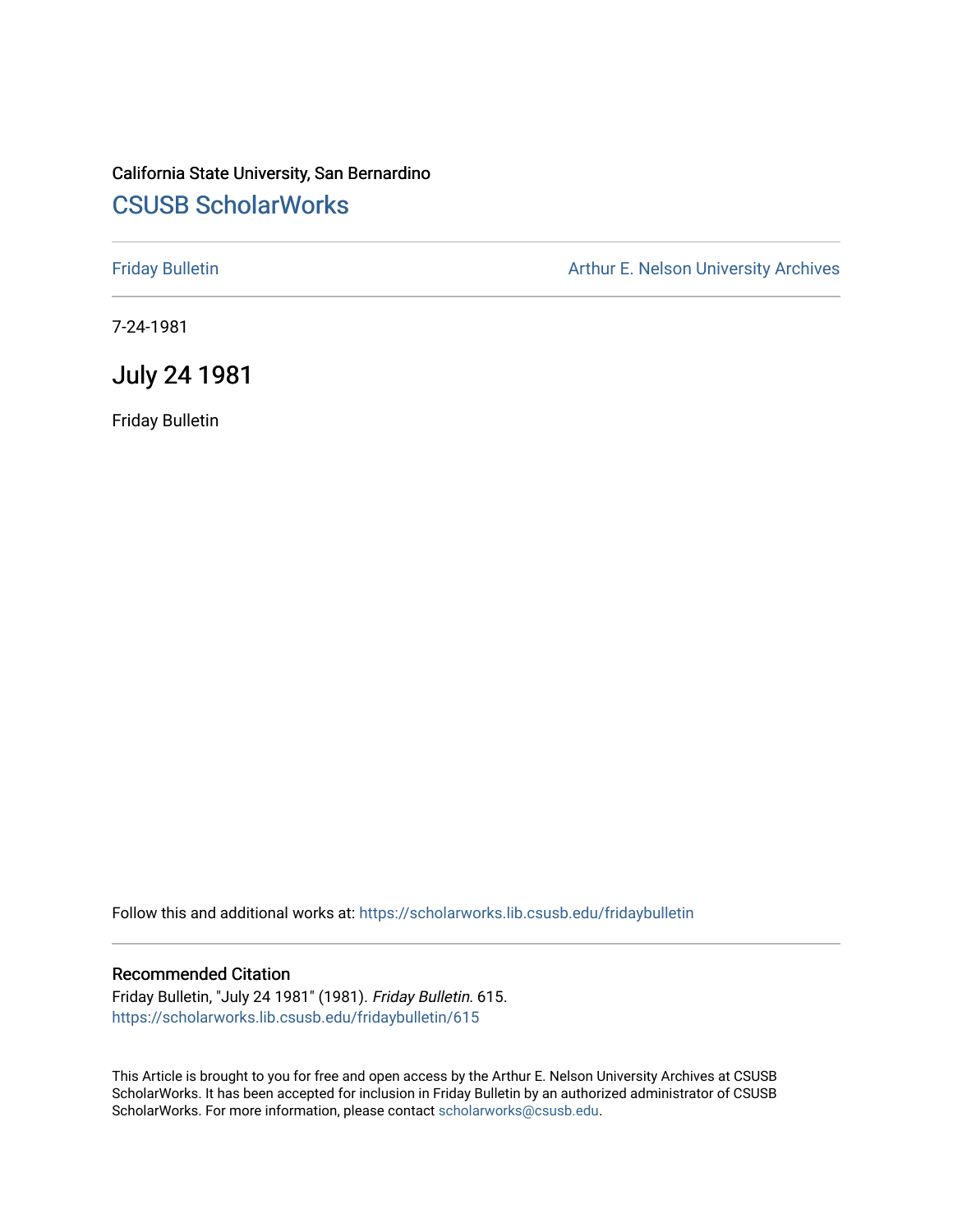# California State University, San Bernardino [CSUSB ScholarWorks](https://scholarworks.lib.csusb.edu/)

[Friday Bulletin](https://scholarworks.lib.csusb.edu/fridaybulletin) **Arthur E. Nelson University Archives** Arthur E. Nelson University Archives

7-24-1981

July 24 1981

Friday Bulletin

Follow this and additional works at: [https://scholarworks.lib.csusb.edu/fridaybulletin](https://scholarworks.lib.csusb.edu/fridaybulletin?utm_source=scholarworks.lib.csusb.edu%2Ffridaybulletin%2F615&utm_medium=PDF&utm_campaign=PDFCoverPages)

## Recommended Citation

Friday Bulletin, "July 24 1981" (1981). Friday Bulletin. 615. [https://scholarworks.lib.csusb.edu/fridaybulletin/615](https://scholarworks.lib.csusb.edu/fridaybulletin/615?utm_source=scholarworks.lib.csusb.edu%2Ffridaybulletin%2F615&utm_medium=PDF&utm_campaign=PDFCoverPages)

This Article is brought to you for free and open access by the Arthur E. Nelson University Archives at CSUSB ScholarWorks. It has been accepted for inclusion in Friday Bulletin by an authorized administrator of CSUSB ScholarWorks. For more information, please contact [scholarworks@csusb.edu.](mailto:scholarworks@csusb.edu)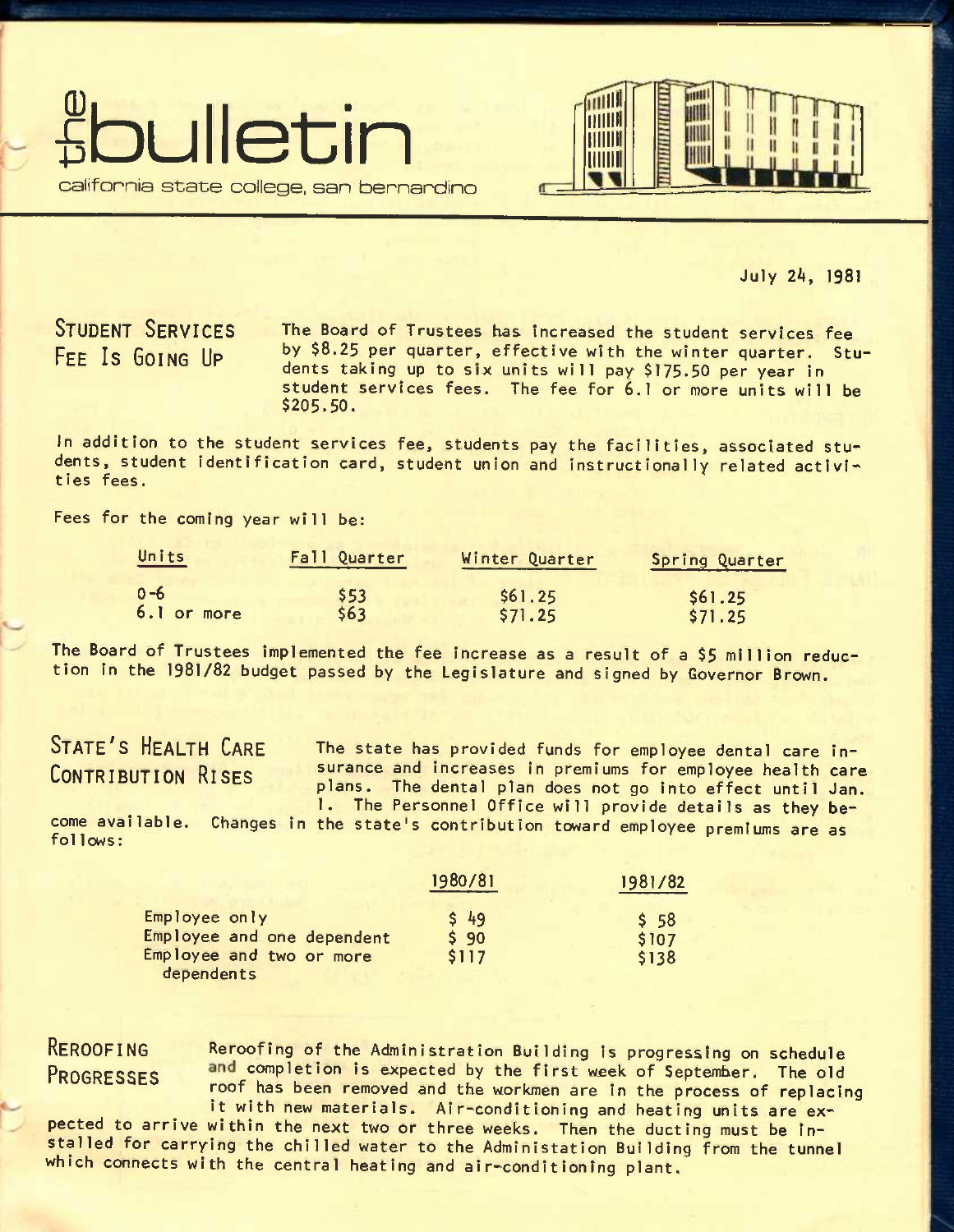



July 2k, 1981

STUDENT SERVICES FEE Is GOING UP

The Board of Trustees has increased the student services fee by \$8.25 per quarter, effective with the winter quarter. Students taking up to *six* units will pay \$175.50 per year in student services fees. The fee for 6.1 or more units will be \$205.50.

In addition to the student services fee, students pay the facilities, associated students, student identification card, student union and instructionally related activities fees.

Fees for the coming year will be:

| Units       | Fall Quarter<br><u> Andrew Schwarzen und der Schwarzen und der Stadt und der Stadt und der Stadt und der Stadt und der Stadt und der Stadt und der Stadt und der Stadt und der Stadt und der Stadt und der Stadt und der Stadt und der Stadt und</u> | Winter Quarter | <b>Spring Quarter</b> |
|-------------|------------------------------------------------------------------------------------------------------------------------------------------------------------------------------------------------------------------------------------------------------|----------------|-----------------------|
| $0 - 6$     | \$53                                                                                                                                                                                                                                                 | \$61.25        | \$61.25               |
| 6.1 or more | \$63                                                                                                                                                                                                                                                 | \$71.25        | \$71.25               |

The Board of Trustees implemented the fee increase as a result of a \$5 million reduction in the 1981/82 budget passed by the Legislature and signed by Governor Brown.

# STATE'S HEALTH CARE CONTRIBUTION RISES

The state has provided funds for employee dental care insurance and increases in premiums for employee health care plans. The dental plan does not go into effect until Jan. 1. The Personnel Office will provide details as they be-

come avallable. Changes in the state's contribution toward employee premiums are as follows:

|                       | 1981/82                |
|-----------------------|------------------------|
| \$49<br>\$90<br>\$117 | \$58<br>\$107<br>\$138 |
|                       | 1980/81                |

RE**ROOFING** Reroofing of the Administration Building is progressing on schedule PROGRESSES and completion is expected by the first week of September. The old roof has been removed and the workmen are in the process of replacing

it with new materials. Air-conditioning and heating units are expected to arrive within the next two or three weeks. Then the ducting must be installed for carrying the chilled water to the Administation Building from the tunnel which connects with the central heating and air-conditioning plant.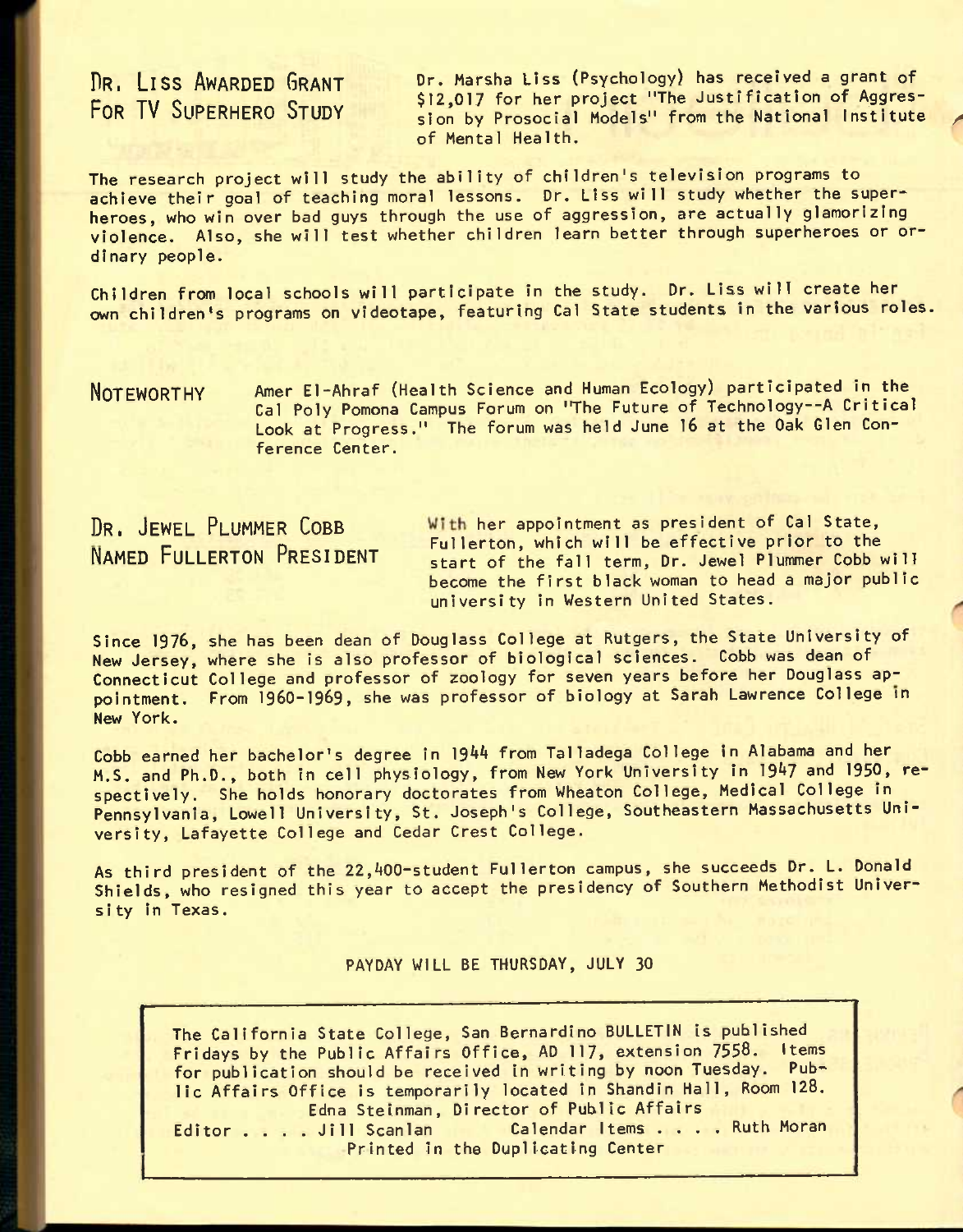# DR. LISS AWARDED GRANT FOR TV SUPERHERO STUDY

Dr. Marsha Liss (Psychology) has received a grant of \$12,017 for her project "The Justification of Aggression by Prosocial Models" from the National Institute of Mental Health.

The research project will study the ability of children's television programs to achieve their goal of teaching moral lessons. Dr. Liss will study whether the superheroes, who win over bad guys through the use of aggression, are actually glamorizing violence. Also, she will test whether children learn better through superheroes or ordinary people.

Children from local schools will participate in the study. Dr. Liss will create her own children's programs on videotape, featuring Gal State students in the various roles.

NOTEWORTHY Amer El-Ahraf (Health Science and Human Ecology) participated in the Cal Poly Pomona Campus Forum on 'The Future of Technology--A Critical Look at Progress." The forum was held June 16 at the Oak Glen Conference Center.

DR. JEWEL PLUMMER COBB With her appointment as president of Cal State, EXT OFFICE FECTREN CODE<br>NAMED FULLERTON PRESIDENT start of the fall term. Dr. Jewel Plummer Cobb w start of the fall term, Dr. Jewel Plummer Cobb will become the first black woman to head a major public university In Western United States.

Since 1976, she has been dean of Douglass College at Rutgers, the State University of New Jersey, where she is also professor of biological sciences. Cobb was dean of Connecticut College and professor of zoology for seven years before her Douglass appointment. From **1960-1969,** she was professor of biology at Sarah Lawrence College in New York.

Cobb earned her bachelor's degree in 1944 from Talladega College in Alabama and her M.S. and Ph.D., both in cell physiology, from New York University in 1947 and 1950, respectively. She holds honorary doctorates from Wheaton College, Medical College in Pennsylvania, Lowell University, St. Joseph's College, Southeastern Massachusetts University, Lafayette College and Cedar Crest College.

As third president of the 22,400-student Fullerton campus, she succeeds Dr. L. Donald Shields, who resigned this year to accept the presidency of Southern Methodist University in Texas.

PAYDAY WILL BE THURSDAY, JULY 30

The California State College, San Bernardino BULLETIN is published Fridays by the Public Affairs Office, AD 117, extension 7558. Items for publication should be received in writing by noon Tuesday. Public Affairs Office is temporarily located in Shandin Hall, Room 128. Editor ..... Jill Scanlan, Director of Public Affairs<br>
Editor .... Jill Scanlan Calendar Items .... Ruth Moran Editor . . . . Jill Scanlan<br>Printed in the Duplicating Center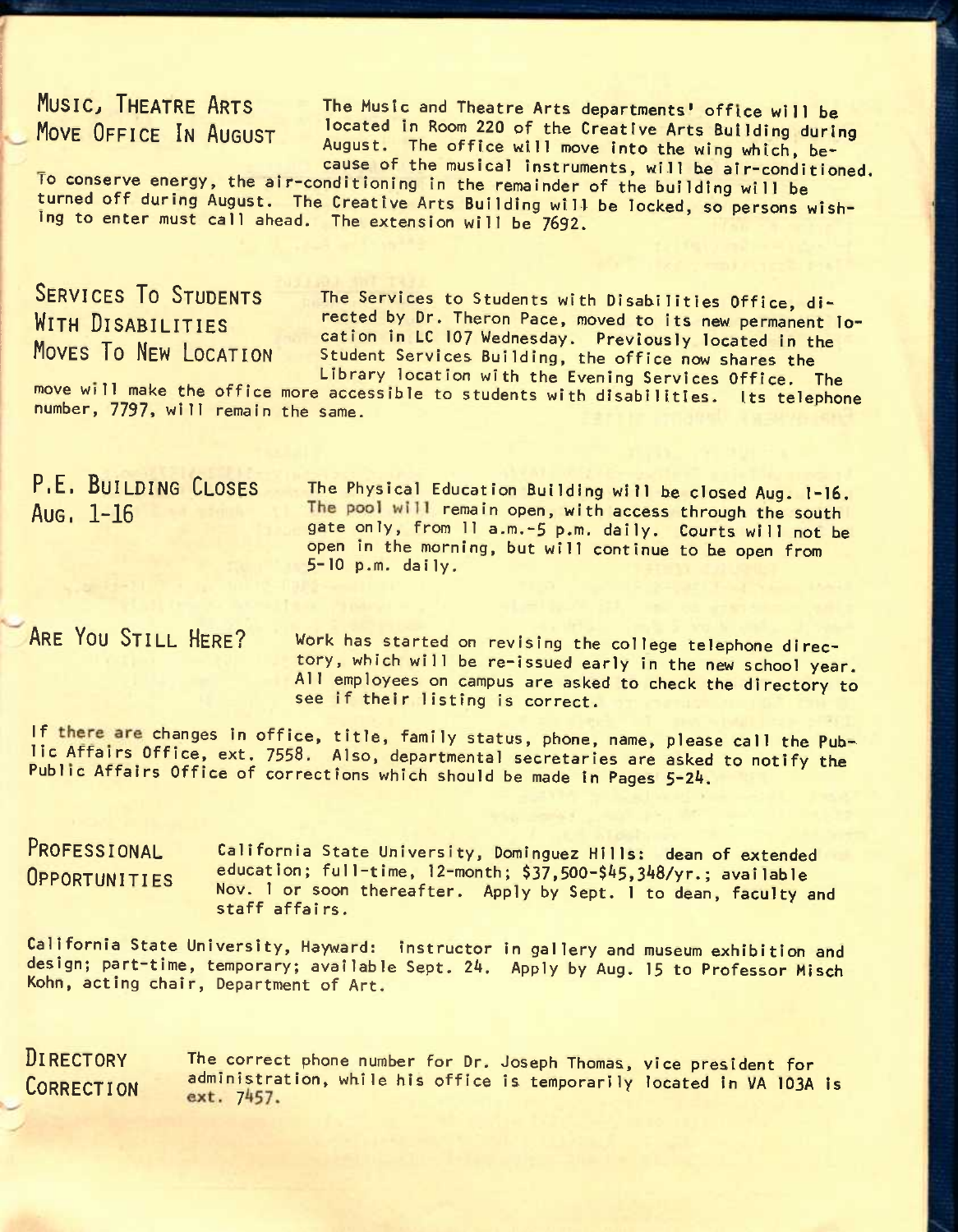MUSIC, THEATRE ARTS The Music and Theatre Arts departments' office will be MOVE OFFICE IN AUGUST located in Room 220 of the Creative Arts Building during August. The office will move into the wing which, because of the musical instruments, will *he* air-conditioned.

*TO* conserve energy, the air-conditioning in the remainder of the building will be turned off during August. The Creative Arts Building will be locked, so persons wishing to enter must call ahead. The extension will be 7692.

SERVICES TO STUDENTS The Services to Students with Disabilities Office, di-<br>WITH DISARILITIES Fected by Dr. Theron Pace, moved to its new permanent rected by Dr. Theron Pace, moved to its new permanent lo-**WITH DISABILITIES**<br>MOVES TO NEW LOCATION Student Services Building, the office now shares the Student Services Building, the office now shares the Library location with the Evening Services Office. The

move will make the office more accessible to students with disabilities. Its telephone number, 7797, will remain the same.

P.E. BUILDING CLOSES The Physical Education Building will be closed Aug. 1-16. Aug. 1-16 The pool will remain open, with access through the south gate only, from 11 a.m.-5 p.m. daily. Courts will not be open in the morning, but will continue to be open from 5-10 p.m. daily.

ARE YOU STILL HERE? Work has started on revising the college telephone directory, which will be re-issued early in the new school year. All employees on campus are asked to check the directory to see if their listing is correct.

If there are changes in office, title, family status, phone, name, please call the Publie Affairs Off ice, ext. 7558. Also, departmental secretaries are asked to notify the Public Affairs Office of corrections which should be made in Pages 5-24.

PROFESSIONAL California State University, Dominguez Hills: dean of extended OPPORTUNITIES education; full-time, 12-month; \$37,500-\$45,348/yr.; available Nov. 1 or soon thereafter. Apply by Sept. 1 to dean, faculty and staff affairs.

California State University, Hayward: instructor in gallery and museum exhibition and design; part-time, temporary; available Sept. 24. Apply by Aug. 15 to Professor Misch Kohn, acting chair, Department of Art.

DIRECTORY The correct phone number for Dr. Joseph Thomas, vice president for CORRECTION administration, while his office is temporarily located in VA 103A is